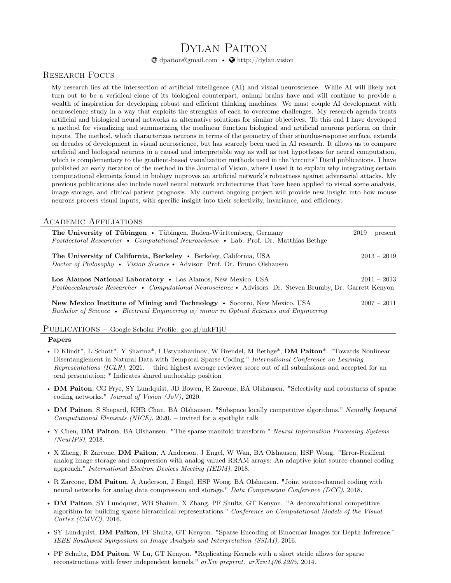# Dylan Paiton

 $\mathbf{\Theta}$  dpaiton@gmail.com •  $\mathbf{\Theta}$  http://dylan.vision

# Research Focus

My research lies at the intersection of artificial intelligence (AI) and visual neuroscience. While AI will likely not turn out to be a veridical clone of its biological counterpart, animal brains have and will continue to provide a wealth of inspiration for developing robust and efficient thinking machines. We must couple AI development with neuroscience study in a way that exploits the strengths of each to overcome challenges. My research agenda treats artificial and biological neural networks as alternative solutions for similar objectives. To this end I have developed a method for visualizing and summarizing the nonlinear function biological and artificial neurons perform on their inputs. The method, which characterizes neurons in terms of the geometry of their stimulus-response surface, extends on decades of development in visual neuroscience, but has scarcely been used in AI research. It allows us to compare artificial and biological neurons in a causal and interpretable way as well as test hypotheses for neural computation, which is complementary to the gradient-based visualization methods used in the "circuits" Distil publications. I have published an early iteration of the method in the Journal of Vision, where I used it to explain why integrating certain computational elements found in biology improves an artificial network's robustness against adversarial attacks. My previous publications also include novel neural network architectures that have been applied to visual scene analysis, image storage, and clinical patient prognosis. My current ongoing project will provide new insight into how mouse neurons process visual inputs, with specific insight into their selectivity, invariance, and efficiency.

# Academic Affiliations

| <b>The University of Tübingen •</b> Tübingen, Baden-Württemberg, Germany<br>Postdoctoral Researcher • Computational Neuroscience • Lab: Prof. Dr. Matthias Bethge           | $2019$ – present |
|-----------------------------------------------------------------------------------------------------------------------------------------------------------------------------|------------------|
| The University of California, Berkeley . Berkeley, California, USA<br><i>Doctor of Philosophy</i> • <i>Vision Science</i> • Advisor: Prof. Dr. Bruno Olshausen              | $2013 - 2019$    |
| Los Alamos National Laboratory • Los Alamos, New Mexico, USA<br>Postbaccalaureate Researcher • Computational Neuroscience • Advisors: Dr. Steven Brumby, Dr. Garrett Kenyon | $2011 - 2013$    |
| New Mexico Institute of Mining and Technology • Socorro, New Mexico, USA<br>Bachelor of Science • Electrical Engineering $w/min$ optical Sciences and Engineering           | $2007 - 2011$    |

#### Publications – Google Scholar Profile: goo.gl/mkF1jU

#### Papers

- D Klindt\*, L Schott\*, Y Sharma\*, I Ustyuzhaninov, W Brendel, M Bethge\*, DM Paiton\*. "Towards Nonlinear Disentanglement in Natural Data with Temporal Sparse Coding." International Conference on Learning Representations  $(ICLR)$ , 2021. – third highest average reviewer score out of all submissions and accepted for an oral presentation; \* Indicates shared authorship position
- DM Paiton, CG Frye, SY Lundquist, JD Bowen, R Zarcone, BA Olshausen. "Selectivity and robustness of sparse coding networks." Journal of Vision (JoV), 2020.
- DM Paiton, S Shepard, KHR Chan, BA Olshausen. "Subspace locally competitive algorithms." Neurally Inspired Computational Elements (NICE), 2020. – invited for a spotlight talk
- Y Chen, **DM Paiton**, BA Olshausen. "The sparse manifold transform." Neural Information Processing Systems (NeurIPS), 2018.
- X Zheng, R Zarcone, DM Paiton, A Anderson, J Engel, W Wan, BA Olshausen, HSP Wong. "Error-Resilient analog image storage and compression with analog-valued RRAM arrays: An adaptive joint source-channel coding approach." International Electron Devices Meeting (IEDM), 2018.
- R Zarcone, DM Paiton, A Anderson, J Engel, HSP Wong, BA Olshausen. "Joint source-channel coding with neural networks for analog data compression and storage." Data Compression Conference (DCC), 2018.
- DM Paiton, SY Lundquist, WB Shainin, X Zhang, PF Shultz, GT Kenyon. "A deconvolutional competitive algorithm for building sparse hierarchical representations." Conference on Computational Models of the Visual Cortex (CMVC), 2016.
- SY Lundquist, DM Paiton, PF Shultz, GT Kenyon. "Sparse Encoding of Binocular Images for Depth Inference." IEEE Southwest Symposium on Image Analysis and Interpretation (SSIAI), 2016.
- PF Schultz, DM Paiton, W Lu, GT Kenyon. "Replicating Kernels with a short stride allows for sparse reconstructions with fewer independent kernels." arXiv preprint. arXiv:1406.4205, 2014.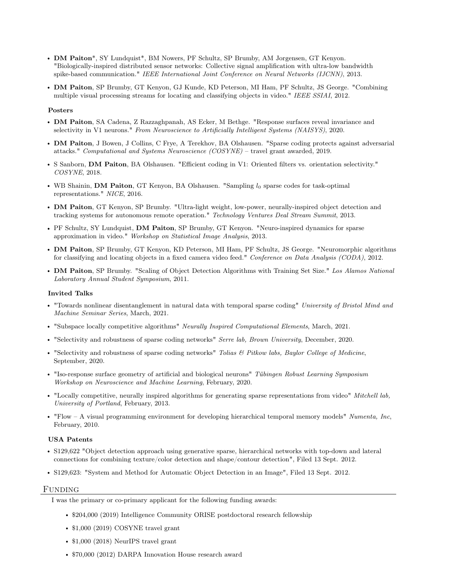- DM Paiton\*, SY Lundquist\*, BM Nowers, PF Schultz, SP Brumby, AM Jorgensen, GT Kenyon. "Biologically-inspired distributed sensor networks: Collective signal amplification with ultra-low bandwidth spike-based communication." IEEE International Joint Conference on Neural Networks (IJCNN), 2013.
- DM Paiton, SP Brumby, GT Kenyon, GJ Kunde, KD Peterson, MI Ham, PF Schultz, JS George. "Combining multiple visual processing streams for locating and classifying objects in video." IEEE SSIAI, 2012.

#### Posters

- DM Paiton, SA Cadena, Z Razzaghpanah, AS Ecker, M Bethge. "Response surfaces reveal invariance and selectivity in V1 neurons." From Neuroscience to Artificially Intelligent Systems (NAISYS), 2020.
- DM Paiton, J Bowen, J Collins, C Frye, A Terekhov, BA Olshausen. "Sparse coding protects against adversarial attacks." Computational and Systems Neuroscience (COSYNE) – travel grant awarded, 2019.
- S Sanborn, DM Paiton, BA Olshausen. "Efficient coding in V1: Oriented filters vs. orientation selectivity." COSYNE, 2018.
- WB Shainin, DM Paiton, GT Kenyon, BA Olshausen. "Sampling  $l_0$  sparse codes for task-optimal representations." NICE, 2016.
- DM Paiton, GT Kenyon, SP Brumby. "Ultra-light weight, low-power, neurally-inspired object detection and tracking systems for autonomous remote operation." Technology Ventures Deal Stream Summit, 2013.
- PF Schultz, SY Lundquist, DM Paiton, SP Brumby, GT Kenyon. "Neuro-inspired dynamics for sparse approximation in video." Workshop on Statistical Image Analysis, 2013.
- DM Paiton, SP Brumby, GT Kenyon, KD Peterson, MI Ham, PF Schultz, JS George. "Neuromorphic algorithms for classifying and locating objects in a fixed camera video feed." Conference on Data Analysis (CODA), 2012.
- DM Paiton, SP Brumby. "Scaling of Object Detection Algorithms with Training Set Size." Los Alamos National Laboratory Annual Student Symposium, 2011.

#### Invited Talks

- "Towards nonlinear disentanglement in natural data with temporal sparse coding" University of Bristol Mind and Machine Seminar Series, March, 2021.
- "Subspace locally competitive algorithms" Neurally Inspired Computational Elements, March, 2021.
- "Selectivity and robustness of sparse coding networks" Serre lab, Brown University, December, 2020.
- "Selectivity and robustness of sparse coding networks" Tolias  $\mathcal B$  Pitkow labs, Baylor College of Medicine, September, 2020.
- "Iso-response surface geometry of artificial and biological neurons" Tübingen Robust Learning Symposium Workshop on Neuroscience and Machine Learning, February, 2020.
- "Locally competitive, neurally inspired algorithms for generating sparse representations from video" Mitchell lab, University of Portland, February, 2013.
- "Flow A visual programming environment for developing hierarchical temporal memory models" Numenta, Inc, February, 2010.

#### USA Patents

- S129.622 "Object detection approach using generative sparse, hierarchical networks with top-down and lateral connections for combining texture/color detection and shape/contour detection", Filed 13 Sept. 2012.
- S129,623: "System and Method for Automatic Object Detection in an Image", Filed 13 Sept. 2012.

#### Funding

I was the primary or co-primary applicant for the following funding awards:

- \$204,000 (2019) Intelligence Community ORISE postdoctoral research fellowship
- \$1,000 (2019) COSYNE travel grant
- \$1,000 (2018) NeurlPS travel grant
- \$70,000 (2012) DARPA Innovation House research award